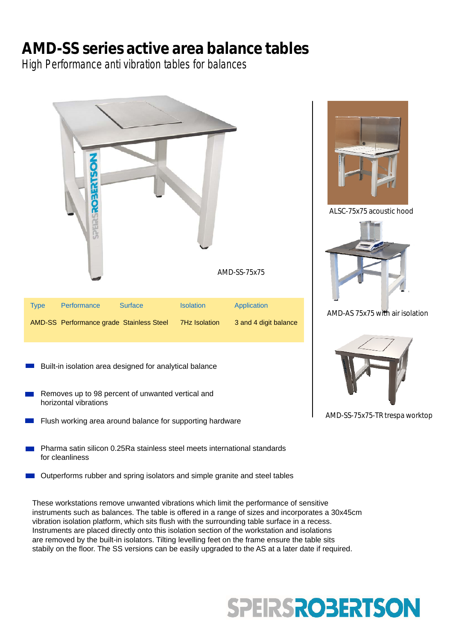## **AMD-SS series active area balance tables**

High Performance anti vibration tables for balances



These workstations remove unwanted vibrations which limit the performance of sensitive instruments such as balances. The table is offered in a range of sizes and incorporates a 30x45cm vibration isolation platform, which sits flush with the surrounding table surface in a recess. Instruments are placed directly onto this isolation section of the workstation and isolations are removed by the built-in isolators. Tilting levelling feet on the frame ensure the table sits stabily on the floor. The SS versions can be easily upgraded to the AS at a later date if required.

# **SPEIRSROBERTSON**